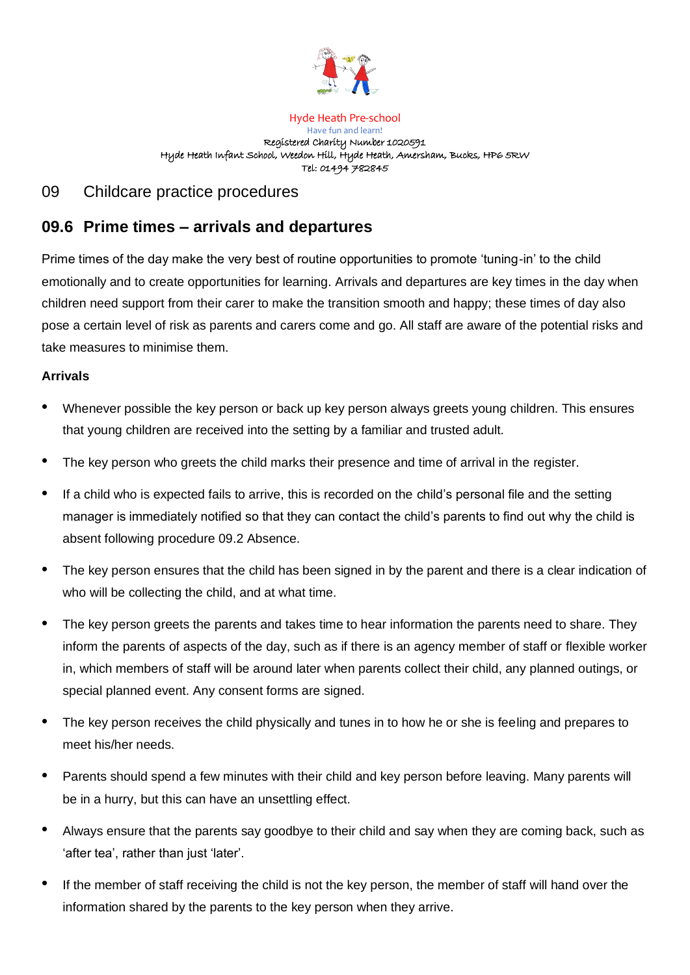

#### Hyde Heath Pre-school Have fun and learn! Registered Charity Number 1020591 Hyde Heath Infant School, Weedon Hill, Hyde Heath, Amersham, Bucks, HP6 5RW Tel: 01494 782845

## 09 Childcare practice procedures

# **09.6 Prime times – arrivals and departures**

Prime times of the day make the very best of routine opportunities to promote 'tuning-in' to the child emotionally and to create opportunities for learning. Arrivals and departures are key times in the day when children need support from their carer to make the transition smooth and happy; these times of day also pose a certain level of risk as parents and carers come and go. All staff are aware of the potential risks and take measures to minimise them.

### **Arrivals**

- Whenever possible the key person or back up key person always greets young children. This ensures that young children are received into the setting by a familiar and trusted adult.
- The key person who greets the child marks their presence and time of arrival in the register.
- If a child who is expected fails to arrive, this is recorded on the child's personal file and the setting manager is immediately notified so that they can contact the child's parents to find out why the child is absent following procedure 09.2 Absence.
- The key person ensures that the child has been signed in by the parent and there is a clear indication of who will be collecting the child, and at what time.
- The key person greets the parents and takes time to hear information the parents need to share. They inform the parents of aspects of the day, such as if there is an agency member of staff or flexible worker in, which members of staff will be around later when parents collect their child, any planned outings, or special planned event. Any consent forms are signed.
- The key person receives the child physically and tunes in to how he or she is feeling and prepares to meet his/her needs.
- Parents should spend a few minutes with their child and key person before leaving. Many parents will be in a hurry, but this can have an unsettling effect.
- Always ensure that the parents say goodbye to their child and say when they are coming back, such as 'after tea', rather than just 'later'.
- If the member of staff receiving the child is not the key person, the member of staff will hand over the information shared by the parents to the key person when they arrive.